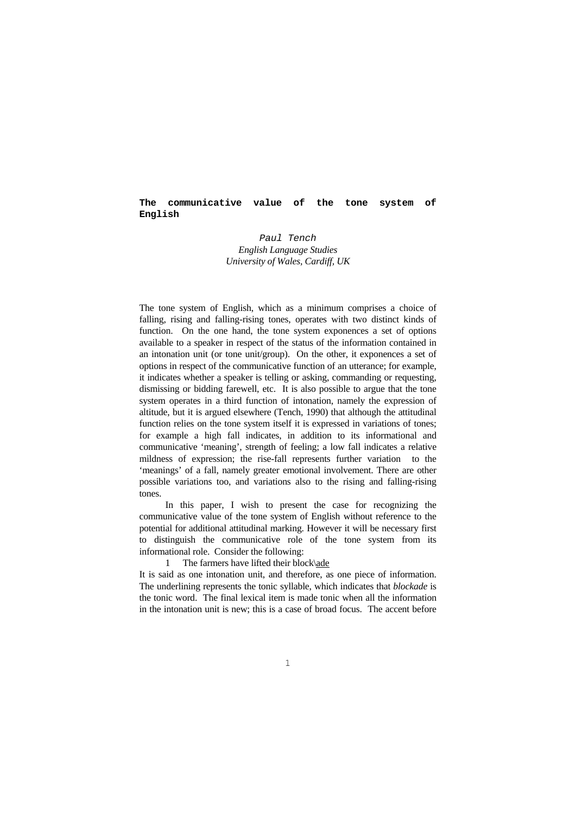### **The communicative value of the tone system of English**

# *Paul Tench English Language Studies University of Wales, Cardiff, UK*

The tone system of English, which as a minimum comprises a choice of falling, rising and falling-rising tones, operates with two distinct kinds of function. On the one hand, the tone system exponences a set of options available to a speaker in respect of the status of the information contained in an intonation unit (or tone unit/group). On the other, it exponences a set of options in respect of the communicative function of an utterance; for example, it indicates whether a speaker is telling or asking, commanding or requesting, dismissing or bidding farewell, etc. It is also possible to argue that the tone system operates in a third function of intonation, namely the expression of altitude, but it is argued elsewhere (Tench, 1990) that although the attitudinal function relies on the tone system itself it is expressed in variations of tones; for example a high fall indicates, in addition to its informational and communicative 'meaning', strength of feeling; a low fall indicates a relative mildness of expression; the rise-fall represents further variation to the 'meanings' of a fall, namely greater emotional involvement. There are other possible variations too, and variations also to the rising and falling-rising tones.

In this paper, I wish to present the case for recognizing the communicative value of the tone system of English without reference to the potential for additional attitudinal marking. However it will be necessary first to distinguish the communicative role of the tone system from its informational role. Consider the following:

1 The farmers have lifted their block\ade

It is said as one intonation unit, and therefore, as one piece of information. The underlining represents the tonic syllable, which indicates that *blockade* is the tonic word. The final lexical item is made tonic when all the information in the intonation unit is new; this is a case of broad focus. The accent before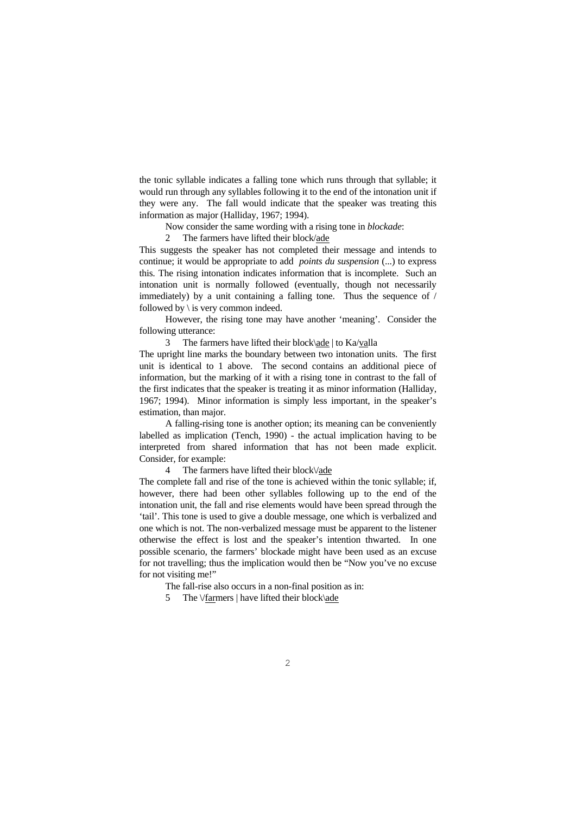the tonic syllable indicates a falling tone which runs through that syllable; it would run through any syllables following it to the end of the intonation unit if they were any. The fall would indicate that the speaker was treating this information as major (Halliday, 1967; 1994).

Now consider the same wording with a rising tone in *blockade*:

2 The farmers have lifted their block/ade

This suggests the speaker has not completed their message and intends to continue; it would be appropriate to add *points du suspension* (...) to express this. The rising intonation indicates information that is incomplete. Such an intonation unit is normally followed (eventually, though not necessarily immediately) by a unit containing a falling tone. Thus the sequence of / followed by  $\iota$  is very common indeed.

 However, the rising tone may have another 'meaning'. Consider the following utterance:

3 The farmers have lifted their block\ade | to Ka/valla

The upright line marks the boundary between two intonation units. The first unit is identical to 1 above. The second contains an additional piece of information, but the marking of it with a rising tone in contrast to the fall of the first indicates that the speaker is treating it as minor information (Halliday, 1967; 1994). Minor information is simply less important, in the speaker's estimation, than major.

 A falling-rising tone is another option; its meaning can be conveniently labelled as implication (Tench, 1990) - the actual implication having to be interpreted from shared information that has not been made explicit. Consider, for example:

4 The farmers have lifted their block\/ade

The complete fall and rise of the tone is achieved within the tonic syllable; if, however, there had been other syllables following up to the end of the intonation unit, the fall and rise elements would have been spread through the 'tail'. This tone is used to give a double message, one which is verbalized and one which is not. The non-verbalized message must be apparent to the listener otherwise the effect is lost and the speaker's intention thwarted. In one possible scenario, the farmers' blockade might have been used as an excuse for not travelling; thus the implication would then be "Now you've no excuse for not visiting me!"

The fall-rise also occurs in a non-final position as in:

5 The \/farmers | have lifted their block\ade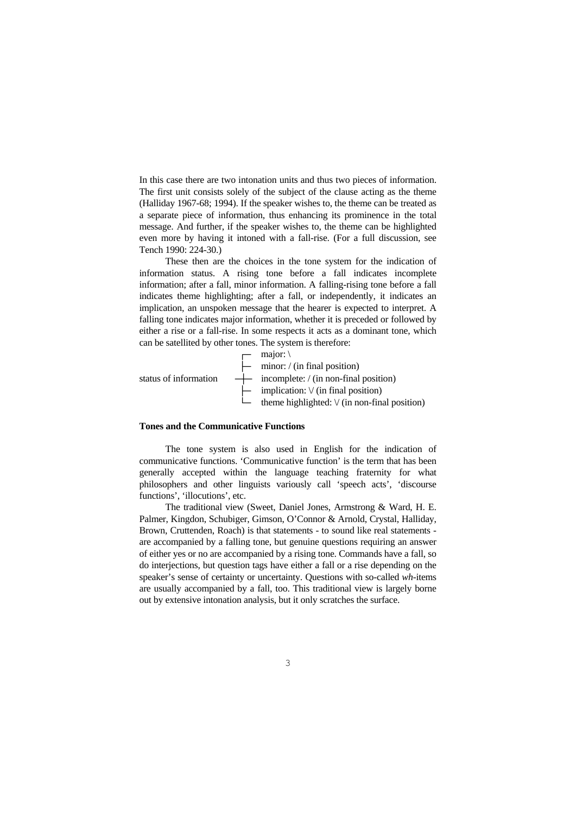In this case there are two intonation units and thus two pieces of information. The first unit consists solely of the subject of the clause acting as the theme (Halliday 1967-68; 1994). If the speaker wishes to, the theme can be treated as a separate piece of information, thus enhancing its prominence in the total message. And further, if the speaker wishes to, the theme can be highlighted even more by having it intoned with a fall-rise. (For a full discussion, see Tench 1990: 224-30.)

 These then are the choices in the tone system for the indication of information status. A rising tone before a fall indicates incomplete information; after a fall, minor information. A falling-rising tone before a fall indicates theme highlighting; after a fall, or independently, it indicates an implication, an unspoken message that the hearer is expected to interpret. A falling tone indicates major information, whether it is preceded or followed by either a rise or a fall-rise. In some respects it acts as a dominant tone, which can be satellited by other tones. The system is therefore:



#### **Tones and the Communicative Functions**

 The tone system is also used in English for the indication of communicative functions. 'Communicative function' is the term that has been generally accepted within the language teaching fraternity for what philosophers and other linguists variously call 'speech acts', 'discourse functions', 'illocutions', etc.

 The traditional view (Sweet, Daniel Jones, Armstrong & Ward, H. E. Palmer, Kingdon, Schubiger, Gimson, O'Connor & Arnold, Crystal, Halliday, Brown, Cruttenden, Roach) is that statements - to sound like real statements are accompanied by a falling tone, but genuine questions requiring an answer of either yes or no are accompanied by a rising tone. Commands have a fall, so do interjections, but question tags have either a fall or a rise depending on the speaker's sense of certainty or uncertainty. Questions with so-called *wh*-items are usually accompanied by a fall, too. This traditional view is largely borne out by extensive intonation analysis, but it only scratches the surface.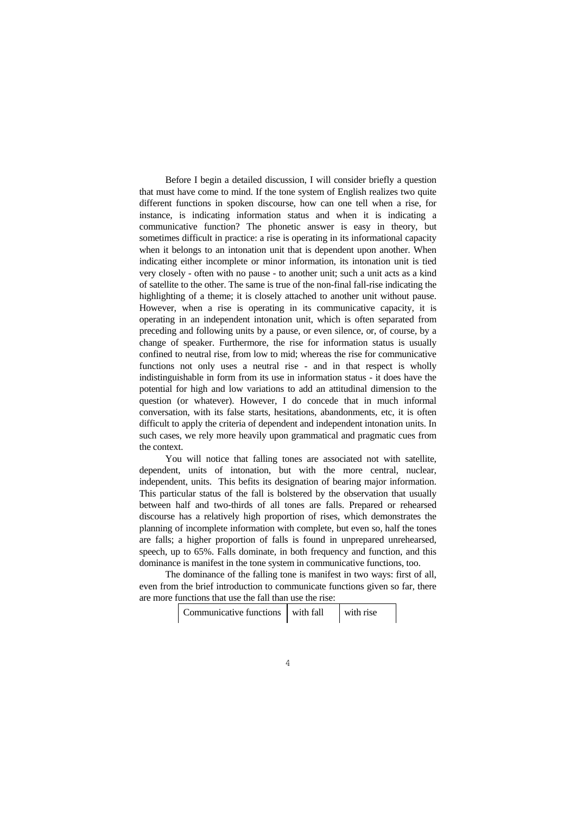Before I begin a detailed discussion, I will consider briefly a question that must have come to mind. If the tone system of English realizes two quite different functions in spoken discourse, how can one tell when a rise, for instance, is indicating information status and when it is indicating a communicative function? The phonetic answer is easy in theory, but sometimes difficult in practice: a rise is operating in its informational capacity when it belongs to an intonation unit that is dependent upon another. When indicating either incomplete or minor information, its intonation unit is tied very closely - often with no pause - to another unit; such a unit acts as a kind of satellite to the other. The same is true of the non-final fall-rise indicating the highlighting of a theme; it is closely attached to another unit without pause. However, when a rise is operating in its communicative capacity, it is operating in an independent intonation unit, which is often separated from preceding and following units by a pause, or even silence, or, of course, by a change of speaker. Furthermore, the rise for information status is usually confined to neutral rise, from low to mid; whereas the rise for communicative functions not only uses a neutral rise - and in that respect is wholly indistinguishable in form from its use in information status - it does have the potential for high and low variations to add an attitudinal dimension to the question (or whatever). However, I do concede that in much informal conversation, with its false starts, hesitations, abandonments, etc, it is often difficult to apply the criteria of dependent and independent intonation units. In such cases, we rely more heavily upon grammatical and pragmatic cues from the context.

 You will notice that falling tones are associated not with satellite, dependent, units of intonation, but with the more central, nuclear, independent, units. This befits its designation of bearing major information. This particular status of the fall is bolstered by the observation that usually between half and two-thirds of all tones are falls. Prepared or rehearsed discourse has a relatively high proportion of rises, which demonstrates the planning of incomplete information with complete, but even so, half the tones are falls; a higher proportion of falls is found in unprepared unrehearsed, speech, up to 65%. Falls dominate, in both frequency and function, and this dominance is manifest in the tone system in communicative functions, too.

 The dominance of the falling tone is manifest in two ways: first of all, even from the brief introduction to communicate functions given so far, there are more functions that use the fall than use the rise:

| Communicative functions with fall |  | with rise |
|-----------------------------------|--|-----------|
|-----------------------------------|--|-----------|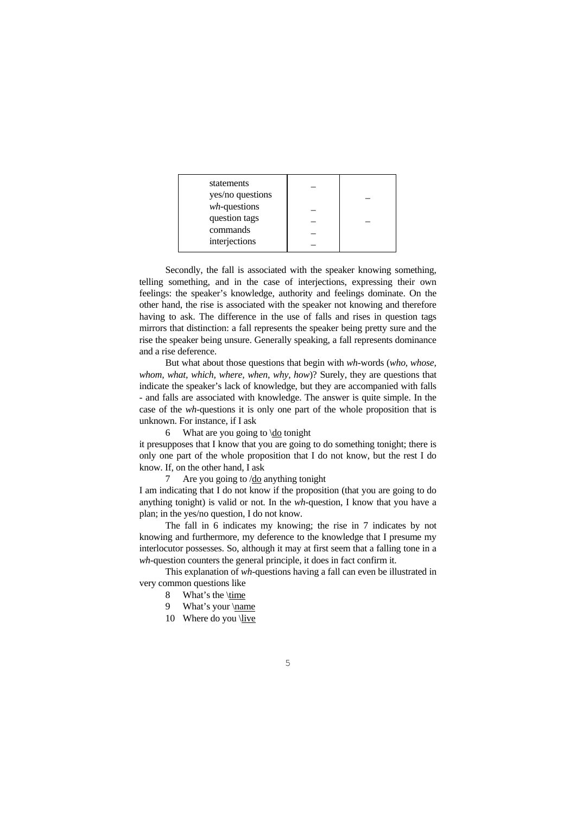| statements<br>yes/no questions |  |
|--------------------------------|--|
| $wh$ -questions                |  |
| question tags                  |  |
| commands                       |  |
|                                |  |
| interjections                  |  |

 Secondly, the fall is associated with the speaker knowing something, telling something, and in the case of interjections, expressing their own feelings: the speaker's knowledge, authority and feelings dominate. On the other hand, the rise is associated with the speaker not knowing and therefore having to ask. The difference in the use of falls and rises in question tags mirrors that distinction: a fall represents the speaker being pretty sure and the rise the speaker being unsure. Generally speaking, a fall represents dominance and a rise deference.

 But what about those questions that begin with *wh*-words (*who, whose, whom, what, which, where, when, why, how*)? Surely, they are questions that indicate the speaker's lack of knowledge, but they are accompanied with falls - and falls are associated with knowledge. The answer is quite simple. In the case of the *wh*-questions it is only one part of the whole proposition that is unknown. For instance, if I ask

6 What are you going to  $\dot{d}$  tonight

it presupposes that I know that you are going to do something tonight; there is only one part of the whole proposition that I do not know, but the rest I do know. If, on the other hand, I ask

7 Are you going to /do anything tonight

I am indicating that I do not know if the proposition (that you are going to do anything tonight) is valid or not. In the *wh*-question, I know that you have a plan; in the yes/no question, I do not know.

 The fall in 6 indicates my knowing; the rise in 7 indicates by not knowing and furthermore, my deference to the knowledge that I presume my interlocutor possesses. So, although it may at first seem that a falling tone in a *wh*-question counters the general principle, it does in fact confirm it.

 This explanation of *wh*-questions having a fall can even be illustrated in very common questions like

- 8 What's the \time
- 9 What's your \name
- 10 Where do you  $\langle$ live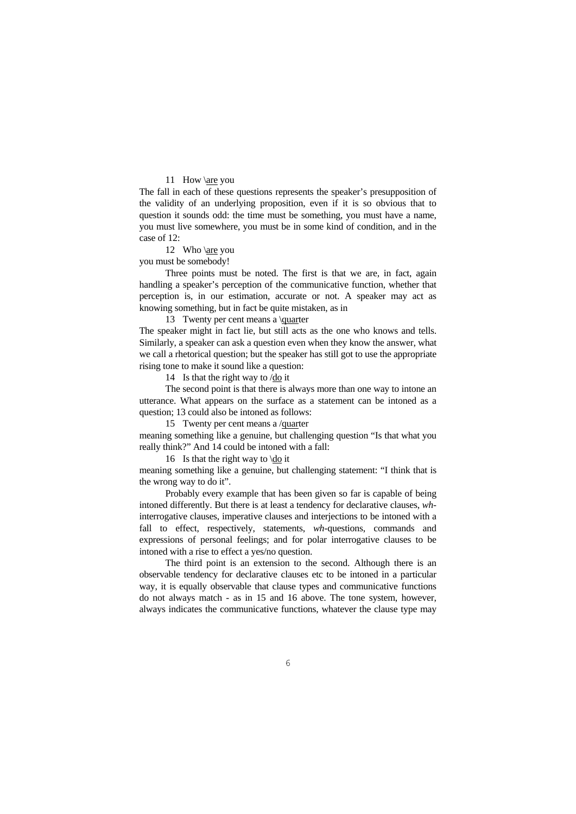### 11 How \are you

The fall in each of these questions represents the speaker's presupposition of the validity of an underlying proposition, even if it is so obvious that to question it sounds odd: the time must be something, you must have a name, you must live somewhere, you must be in some kind of condition, and in the case of 12:

12 Who \are you

you must be somebody!

 Three points must be noted. The first is that we are, in fact, again handling a speaker's perception of the communicative function, whether that perception is, in our estimation, accurate or not. A speaker may act as knowing something, but in fact be quite mistaken, as in

13 Twenty per cent means a \quarter

The speaker might in fact lie, but still acts as the one who knows and tells. Similarly, a speaker can ask a question even when they know the answer, what we call a rhetorical question; but the speaker has still got to use the appropriate rising tone to make it sound like a question:

14 Is that the right way to /do it

 The second point is that there is always more than one way to intone an utterance. What appears on the surface as a statement can be intoned as a question; 13 could also be intoned as follows:

15 Twenty per cent means a /quarter

meaning something like a genuine, but challenging question "Is that what you really think?" And 14 could be intoned with a fall:

16 Is that the right way to \do it

meaning something like a genuine, but challenging statement: "I think that is the wrong way to do it".

 Probably every example that has been given so far is capable of being intoned differently. But there is at least a tendency for declarative clauses, *wh*interrogative clauses, imperative clauses and interjections to be intoned with a fall to effect, respectively, statements, *wh*-questions, commands and expressions of personal feelings; and for polar interrogative clauses to be intoned with a rise to effect a yes/no question.

 The third point is an extension to the second. Although there is an observable tendency for declarative clauses etc to be intoned in a particular way, it is equally observable that clause types and communicative functions do not always match - as in 15 and 16 above. The tone system, however, always indicates the communicative functions, whatever the clause type may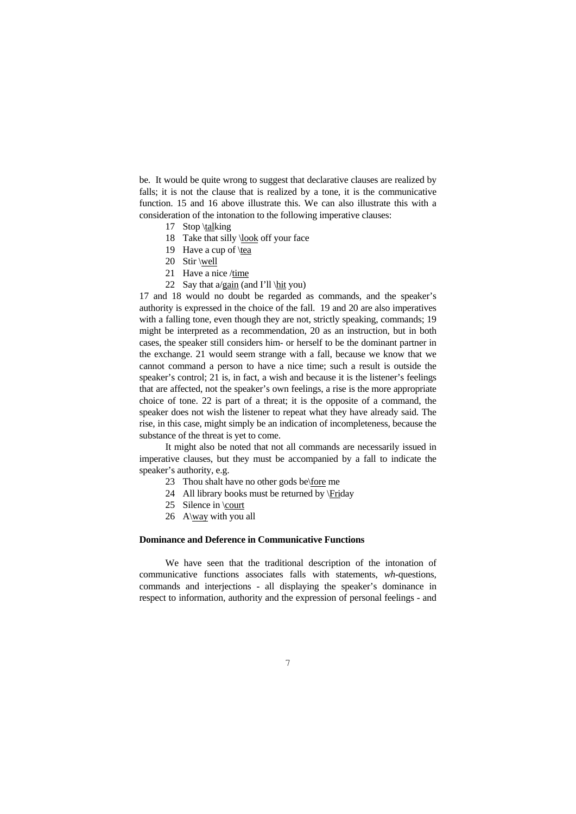be. It would be quite wrong to suggest that declarative clauses are realized by falls; it is not the clause that is realized by a tone, it is the communicative function. 15 and 16 above illustrate this. We can also illustrate this with a consideration of the intonation to the following imperative clauses:

- 17 Stop \talking
- 18 Take that silly \look off your face
- 19 Have a cup of \tea
- 20 Stir \well
- 21 Have a nice /time
- 22 Say that  $a$ /gain (and I'll \hit you)

17 and 18 would no doubt be regarded as commands, and the speaker's authority is expressed in the choice of the fall. 19 and 20 are also imperatives with a falling tone, even though they are not, strictly speaking, commands; 19 might be interpreted as a recommendation, 20 as an instruction, but in both cases, the speaker still considers him- or herself to be the dominant partner in the exchange. 21 would seem strange with a fall, because we know that we cannot command a person to have a nice time; such a result is outside the speaker's control; 21 is, in fact, a wish and because it is the listener's feelings that are affected, not the speaker's own feelings, a rise is the more appropriate choice of tone. 22 is part of a threat; it is the opposite of a command, the speaker does not wish the listener to repeat what they have already said. The rise, in this case, might simply be an indication of incompleteness, because the substance of the threat is yet to come.

 It might also be noted that not all commands are necessarily issued in imperative clauses, but they must be accompanied by a fall to indicate the speaker's authority, e.g.

- 23 Thou shalt have no other gods be\fore me
- 24 All library books must be returned by \Friday
- 25 Silence in \court
- 26 A\way with you all

#### **Dominance and Deference in Communicative Functions**

 We have seen that the traditional description of the intonation of communicative functions associates falls with statements, *wh*-questions, commands and interjections - all displaying the speaker's dominance in respect to information, authority and the expression of personal feelings - and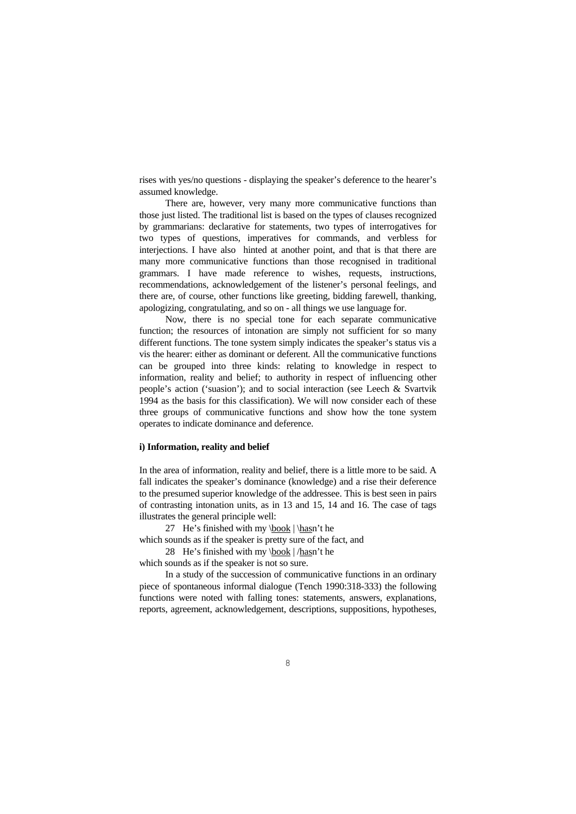rises with yes/no questions - displaying the speaker's deference to the hearer's assumed knowledge.

 There are, however, very many more communicative functions than those just listed. The traditional list is based on the types of clauses recognized by grammarians: declarative for statements, two types of interrogatives for two types of questions, imperatives for commands, and verbless for interjections. I have also hinted at another point, and that is that there are many more communicative functions than those recognised in traditional grammars. I have made reference to wishes, requests, instructions, recommendations, acknowledgement of the listener's personal feelings, and there are, of course, other functions like greeting, bidding farewell, thanking, apologizing, congratulating, and so on - all things we use language for.

 Now, there is no special tone for each separate communicative function; the resources of intonation are simply not sufficient for so many different functions. The tone system simply indicates the speaker's status vis a vis the hearer: either as dominant or deferent. All the communicative functions can be grouped into three kinds: relating to knowledge in respect to information, reality and belief; to authority in respect of influencing other people's action ('suasion'); and to social interaction (see Leech & Svartvik 1994 as the basis for this classification). We will now consider each of these three groups of communicative functions and show how the tone system operates to indicate dominance and deference.

#### **i) Information, reality and belief**

In the area of information, reality and belief, there is a little more to be said. A fall indicates the speaker's dominance (knowledge) and a rise their deference to the presumed superior knowledge of the addressee. This is best seen in pairs of contrasting intonation units, as in 13 and 15, 14 and 16. The case of tags illustrates the general principle well:

27 He's finished with my  $\text{book}$  |  $\text{hasn't he}$ 

which sounds as if the speaker is pretty sure of the fact, and

28 He's finished with my  $\text{book}$  | /hasn't he

which sounds as if the speaker is not so sure.

 In a study of the succession of communicative functions in an ordinary piece of spontaneous informal dialogue (Tench 1990:318-333) the following functions were noted with falling tones: statements, answers, explanations, reports, agreement, acknowledgement, descriptions, suppositions, hypotheses,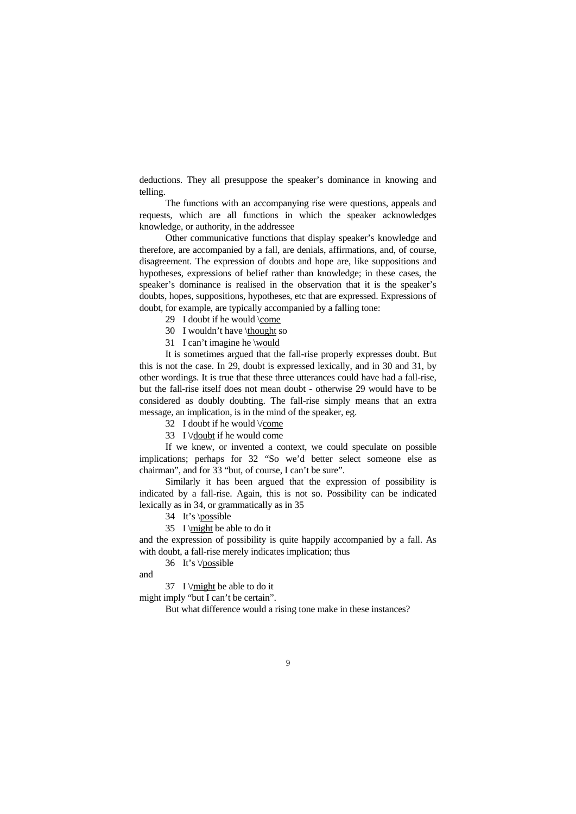deductions. They all presuppose the speaker's dominance in knowing and telling.

 The functions with an accompanying rise were questions, appeals and requests, which are all functions in which the speaker acknowledges knowledge, or authority, in the addressee

 Other communicative functions that display speaker's knowledge and therefore, are accompanied by a fall, are denials, affirmations, and, of course, disagreement. The expression of doubts and hope are, like suppositions and hypotheses, expressions of belief rather than knowledge; in these cases, the speaker's dominance is realised in the observation that it is the speaker's doubts, hopes, suppositions, hypotheses, etc that are expressed. Expressions of doubt, for example, are typically accompanied by a falling tone:

29 I doubt if he would \come

30 I wouldn't have \thought so

31 I can't imagine he \would

 It is sometimes argued that the fall-rise properly expresses doubt. But this is not the case. In 29, doubt is expressed lexically, and in 30 and 31, by other wordings. It is true that these three utterances could have had a fall-rise, but the fall-rise itself does not mean doubt - otherwise 29 would have to be considered as doubly doubting. The fall-rise simply means that an extra message, an implication, is in the mind of the speaker, eg.

32 I doubt if he would \/come

33 I \/doubt if he would come

 If we knew, or invented a context, we could speculate on possible implications; perhaps for 32 "So we'd better select someone else as chairman", and for 33 "but, of course, I can't be sure".

 Similarly it has been argued that the expression of possibility is indicated by a fall-rise. Again, this is not so. Possibility can be indicated lexically as in 34, or grammatically as in 35

34 It's \possible

35 I \might be able to do it

and the expression of possibility is quite happily accompanied by a fall. As with doubt, a fall-rise merely indicates implication; thus

36 It's \/possible

and

37 I  $\forall$  might be able to do it

might imply "but I can't be certain".

But what difference would a rising tone make in these instances?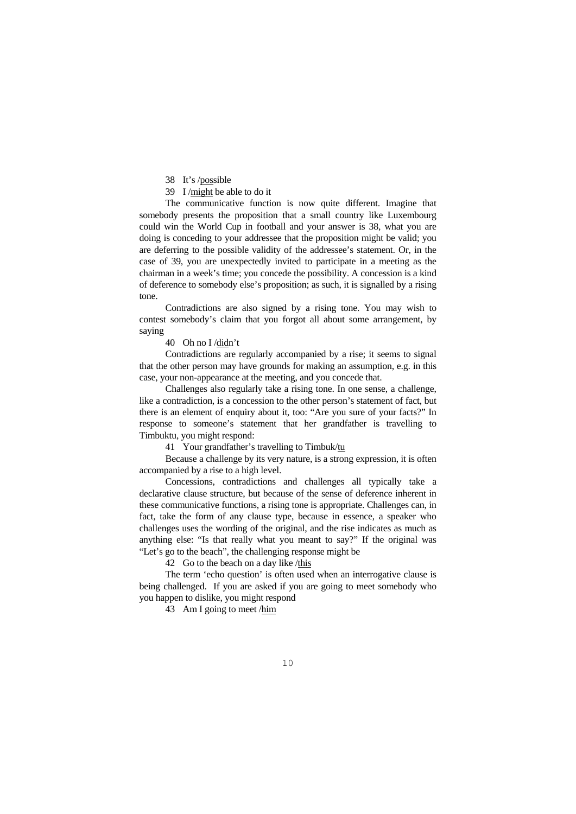38 It's /possible

39 I /might be able to do it

 The communicative function is now quite different. Imagine that somebody presents the proposition that a small country like Luxembourg could win the World Cup in football and your answer is 38, what you are doing is conceding to your addressee that the proposition might be valid; you are deferring to the possible validity of the addressee's statement. Or, in the case of 39, you are unexpectedly invited to participate in a meeting as the chairman in a week's time; you concede the possibility. A concession is a kind of deference to somebody else's proposition; as such, it is signalled by a rising tone.

 Contradictions are also signed by a rising tone. You may wish to contest somebody's claim that you forgot all about some arrangement, by saying

40 Oh no I /didn't

 Contradictions are regularly accompanied by a rise; it seems to signal that the other person may have grounds for making an assumption, e.g. in this case, your non-appearance at the meeting, and you concede that.

 Challenges also regularly take a rising tone. In one sense, a challenge, like a contradiction, is a concession to the other person's statement of fact, but there is an element of enquiry about it, too: "Are you sure of your facts?" In response to someone's statement that her grandfather is travelling to Timbuktu, you might respond:

41 Your grandfather's travelling to Timbuk/tu

 Because a challenge by its very nature, is a strong expression, it is often accompanied by a rise to a high level.

 Concessions, contradictions and challenges all typically take a declarative clause structure, but because of the sense of deference inherent in these communicative functions, a rising tone is appropriate. Challenges can, in fact, take the form of any clause type, because in essence, a speaker who challenges uses the wording of the original, and the rise indicates as much as anything else: "Is that really what you meant to say?" If the original was "Let's go to the beach", the challenging response might be

42 Go to the beach on a day like /this

 The term 'echo question' is often used when an interrogative clause is being challenged. If you are asked if you are going to meet somebody who you happen to dislike, you might respond

43 Am I going to meet /him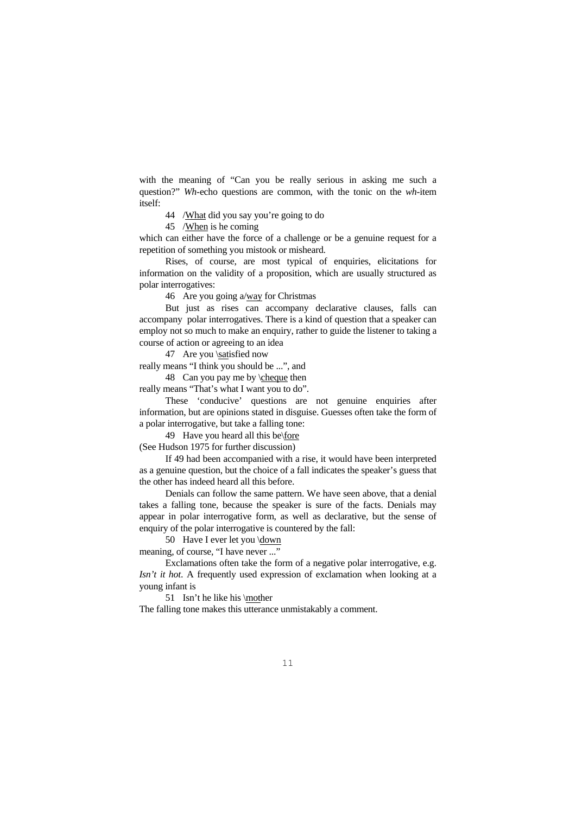with the meaning of "Can you be really serious in asking me such a question?" *Wh*-echo questions are common, with the tonic on the *wh*-item itself:

44 /What did you say you're going to do

45 /When is he coming

which can either have the force of a challenge or be a genuine request for a repetition of something you mistook or misheard.

 Rises, of course, are most typical of enquiries, elicitations for information on the validity of a proposition, which are usually structured as polar interrogatives:

46 Are you going a/way for Christmas

 But just as rises can accompany declarative clauses, falls can accompany polar interrogatives. There is a kind of question that a speaker can employ not so much to make an enquiry, rather to guide the listener to taking a course of action or agreeing to an idea

47 Are you \satisfied now

really means "I think you should be ...", and

48 Can you pay me by \cheque then

really means "That's what I want you to do".

 These 'conducive' questions are not genuine enquiries after information, but are opinions stated in disguise. Guesses often take the form of a polar interrogative, but take a falling tone:

49 Have you heard all this be\fore

(See Hudson 1975 for further discussion)

 If 49 had been accompanied with a rise, it would have been interpreted as a genuine question, but the choice of a fall indicates the speaker's guess that the other has indeed heard all this before.

 Denials can follow the same pattern. We have seen above, that a denial takes a falling tone, because the speaker is sure of the facts. Denials may appear in polar interrogative form, as well as declarative, but the sense of enquiry of the polar interrogative is countered by the fall:

50 Have I ever let you \down

meaning, of course, "I have never ..."

 Exclamations often take the form of a negative polar interrogative, e.g. *Isn't it hot*. A frequently used expression of exclamation when looking at a young infant is

51 Isn't he like his \mother

The falling tone makes this utterance unmistakably a comment.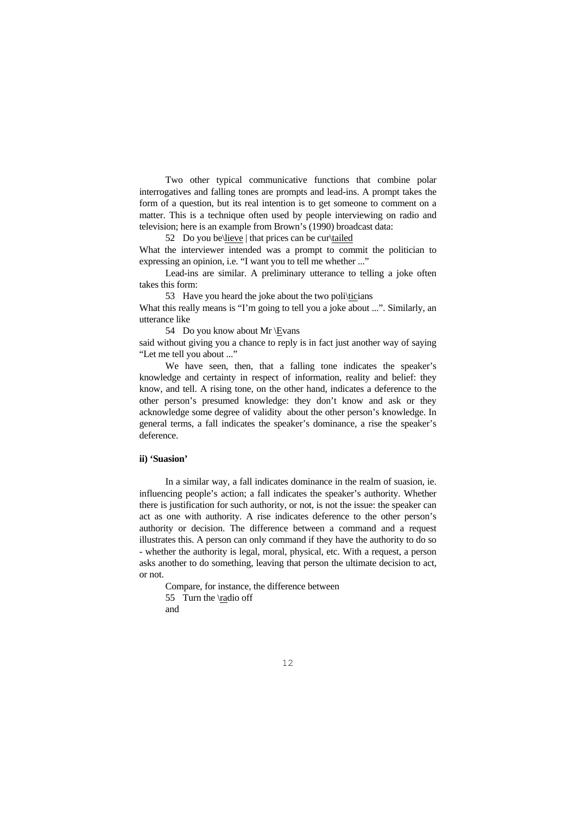Two other typical communicative functions that combine polar interrogatives and falling tones are prompts and lead-ins. A prompt takes the form of a question, but its real intention is to get someone to comment on a matter. This is a technique often used by people interviewing on radio and television; here is an example from Brown's (1990) broadcast data:

52 Do you be\lieve | that prices can be cur $\tilde{a}$ 

What the interviewer intended was a prompt to commit the politician to expressing an opinion, i.e. "I want you to tell me whether ..."

 Lead-ins are similar. A preliminary utterance to telling a joke often takes this form:

53 Have you heard the joke about the two poli\ticians

What this really means is "I'm going to tell you a joke about ...". Similarly, an utterance like

54 Do you know about Mr \Evans

said without giving you a chance to reply is in fact just another way of saying "Let me tell you about ..."

We have seen, then, that a falling tone indicates the speaker's knowledge and certainty in respect of information, reality and belief: they know, and tell. A rising tone, on the other hand, indicates a deference to the other person's presumed knowledge: they don't know and ask or they acknowledge some degree of validity about the other person's knowledge. In general terms, a fall indicates the speaker's dominance, a rise the speaker's deference.

#### **ii) 'Suasion'**

 In a similar way, a fall indicates dominance in the realm of suasion, ie. influencing people's action; a fall indicates the speaker's authority. Whether there is justification for such authority, or not, is not the issue: the speaker can act as one with authority. A rise indicates deference to the other person's authority or decision. The difference between a command and a request illustrates this. A person can only command if they have the authority to do so - whether the authority is legal, moral, physical, etc. With a request, a person asks another to do something, leaving that person the ultimate decision to act, or not.

Compare, for instance, the difference between

55 Turn the \radio off

and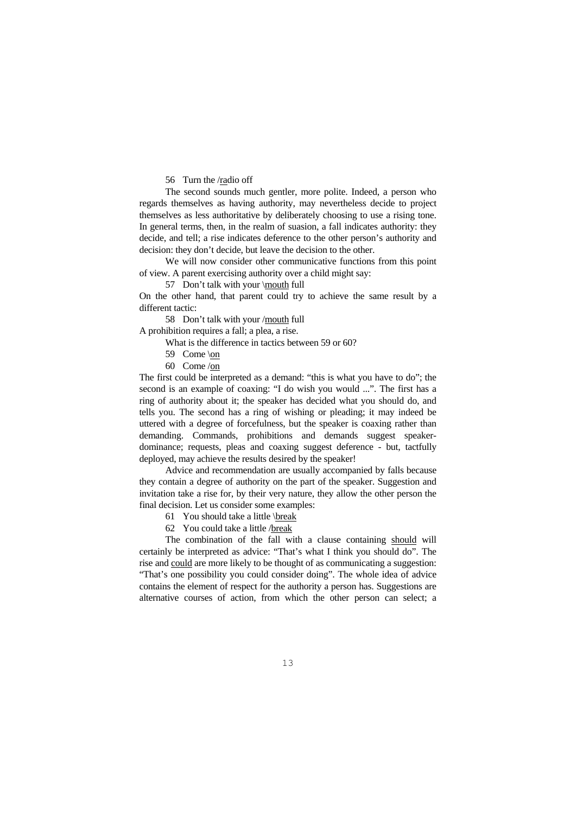56 Turn the /radio off

 The second sounds much gentler, more polite. Indeed, a person who regards themselves as having authority, may nevertheless decide to project themselves as less authoritative by deliberately choosing to use a rising tone. In general terms, then, in the realm of suasion, a fall indicates authority: they decide, and tell; a rise indicates deference to the other person's authority and decision: they don't decide, but leave the decision to the other.

 We will now consider other communicative functions from this point of view. A parent exercising authority over a child might say:

57 Don't talk with your \mouth full

On the other hand, that parent could try to achieve the same result by a different tactic:

58 Don't talk with your /mouth full

A prohibition requires a fall; a plea, a rise.

What is the difference in tactics between 59 or 60?

- 59 Come \on
- 60 Come /on

The first could be interpreted as a demand: "this is what you have to do"; the second is an example of coaxing: "I do wish you would ...". The first has a ring of authority about it; the speaker has decided what you should do, and tells you. The second has a ring of wishing or pleading; it may indeed be uttered with a degree of forcefulness, but the speaker is coaxing rather than demanding. Commands, prohibitions and demands suggest speakerdominance; requests, pleas and coaxing suggest deference - but, tactfully deployed, may achieve the results desired by the speaker!

 Advice and recommendation are usually accompanied by falls because they contain a degree of authority on the part of the speaker. Suggestion and invitation take a rise for, by their very nature, they allow the other person the final decision. Let us consider some examples:

61 You should take a little \break

62 You could take a little /break

 The combination of the fall with a clause containing should will certainly be interpreted as advice: "That's what I think you should do". The rise and could are more likely to be thought of as communicating a suggestion: "That's one possibility you could consider doing". The whole idea of advice contains the element of respect for the authority a person has. Suggestions are alternative courses of action, from which the other person can select; a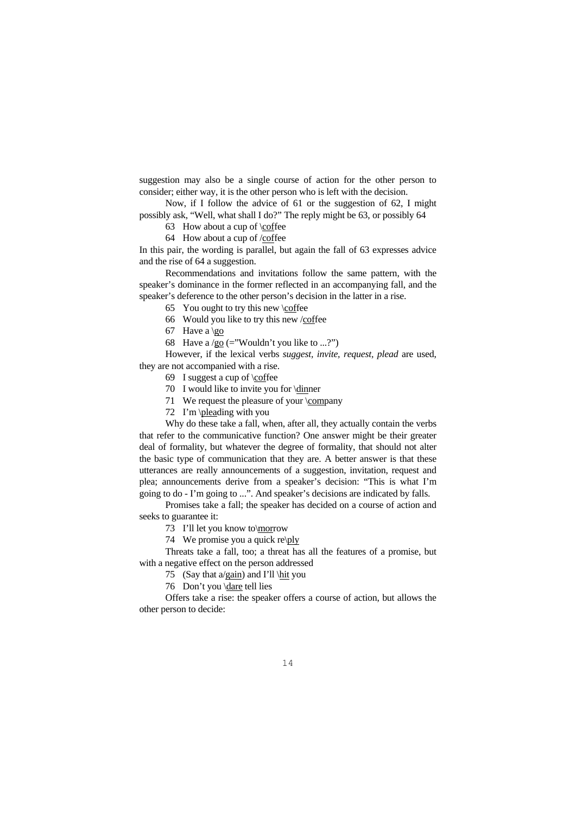suggestion may also be a single course of action for the other person to consider; either way, it is the other person who is left with the decision.

 Now, if I follow the advice of 61 or the suggestion of 62, I might possibly ask, "Well, what shall I do?" The reply might be 63, or possibly 64

63 How about a cup of \coffee

64 How about a cup of /coffee

In this pair, the wording is parallel, but again the fall of 63 expresses advice and the rise of 64 a suggestion.

 Recommendations and invitations follow the same pattern, with the speaker's dominance in the former reflected in an accompanying fall, and the speaker's deference to the other person's decision in the latter in a rise.

65 You ought to try this new \coffee

66 Would you like to try this new /coffee

67 Have a  $\qquad$ 

68 Have a  $/go (=$ "Wouldn't you like to ...?")

 However, if the lexical verbs *suggest, invite, request, plead* are used, they are not accompanied with a rise.

69 I suggest a cup of \coffee

70 I would like to invite you for \dinner

71 We request the pleasure of your \company

72 I'm \pleading with you

 Why do these take a fall, when, after all, they actually contain the verbs that refer to the communicative function? One answer might be their greater deal of formality, but whatever the degree of formality, that should not alter the basic type of communication that they are. A better answer is that these utterances are really announcements of a suggestion, invitation, request and plea; announcements derive from a speaker's decision: "This is what I'm going to do - I'm going to ...". And speaker's decisions are indicated by falls.

 Promises take a fall; the speaker has decided on a course of action and seeks to guarantee it:

73 I'll let you know to\morrow

74 We promise you a quick re\ply

 Threats take a fall, too; a threat has all the features of a promise, but with a negative effect on the person addressed

75 (Say that a/gain) and I'll \hit you

76 Don't you \dare tell lies

 Offers take a rise: the speaker offers a course of action, but allows the other person to decide: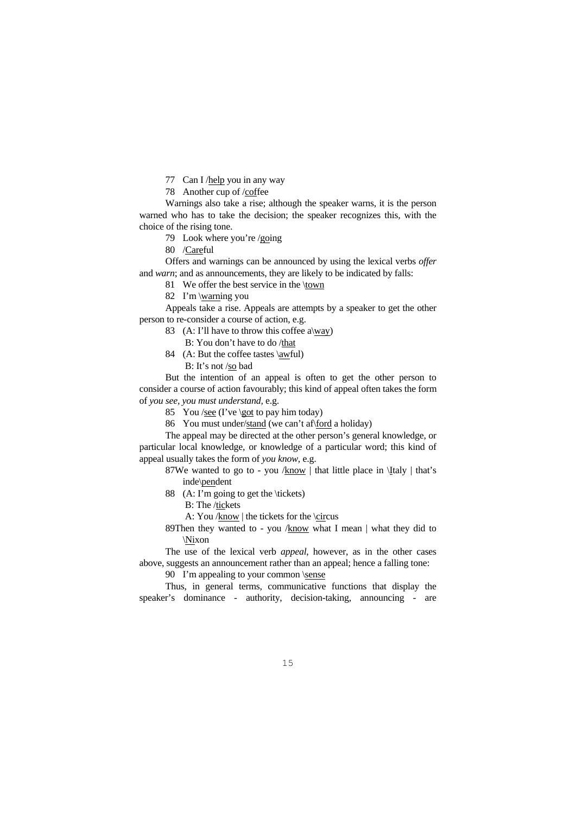77 Can I /help you in any way

78 Another cup of /coffee

 Warnings also take a rise; although the speaker warns, it is the person warned who has to take the decision; the speaker recognizes this, with the choice of the rising tone.

79 Look where you're /going

80 /Careful

 Offers and warnings can be announced by using the lexical verbs *offer* and *warn*; and as announcements, they are likely to be indicated by falls:

81 We offer the best service in the \town

82 I'm \warning you

 Appeals take a rise. Appeals are attempts by a speaker to get the other person to re-consider a course of action, e.g.

83 (A: I'll have to throw this coffee a\way)

B: You don't have to do /that

 84 (A: But the coffee tastes \awful) B: It's not /so bad

 But the intention of an appeal is often to get the other person to consider a course of action favourably; this kind of appeal often takes the form of *you see, you must understand,* e.g.

85 You /see (I've \got to pay him today)

86 You must under/stand (we can't af\ford a holiday)

 The appeal may be directed at the other person's general knowledge, or particular local knowledge, or knowledge of a particular word; this kind of appeal usually takes the form of *you know*, e.g.

87We wanted to go to - you / $know$  | that little place in  $\langle \text{Italy} |$  that's inde\pendent

 88 (A: I'm going to get the \tickets) B: The /tickets

A: You /know | the tickets for the \circus

 89Then they wanted to - you /know what I mean | what they did to \Nixon

 The use of the lexical verb *appeal*, however, as in the other cases above, suggests an announcement rather than an appeal; hence a falling tone:

90 I'm appealing to your common \sense

 Thus, in general terms, communicative functions that display the speaker's dominance - authority, decision-taking, announcing - are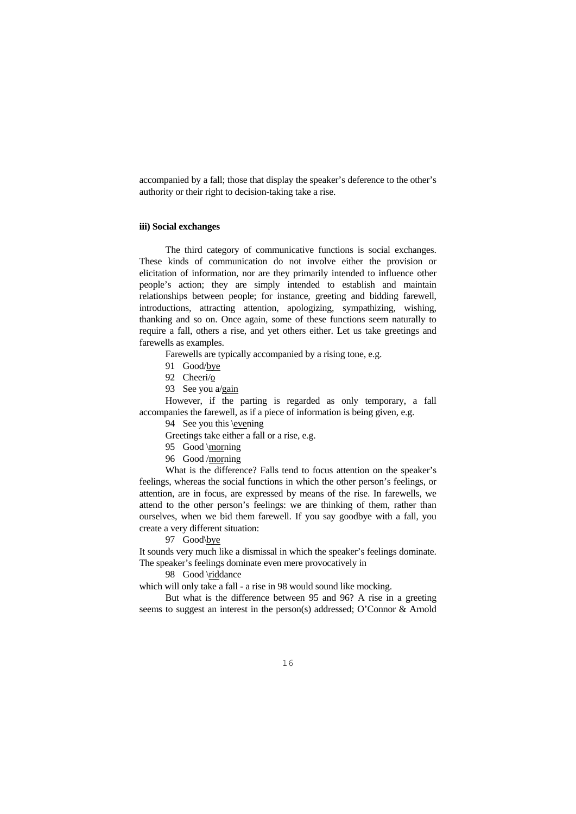accompanied by a fall; those that display the speaker's deference to the other's authority or their right to decision-taking take a rise.

## **iii) Social exchanges**

 The third category of communicative functions is social exchanges. These kinds of communication do not involve either the provision or elicitation of information, nor are they primarily intended to influence other people's action; they are simply intended to establish and maintain relationships between people; for instance, greeting and bidding farewell, introductions, attracting attention, apologizing, sympathizing, wishing, thanking and so on. Once again, some of these functions seem naturally to require a fall, others a rise, and yet others either. Let us take greetings and farewells as examples.

Farewells are typically accompanied by a rising tone, e.g.

- 91 Good/bye
- 92 Cheeri/o
- 93 See you a/gain

 However, if the parting is regarded as only temporary, a fall accompanies the farewell, as if a piece of information is being given, e.g.

94 See you this \evening

Greetings take either a fall or a rise, e.g.

- 95 Good \morning
- 96 Good /morning

 What is the difference? Falls tend to focus attention on the speaker's feelings, whereas the social functions in which the other person's feelings, or attention, are in focus, are expressed by means of the rise. In farewells, we attend to the other person's feelings: we are thinking of them, rather than ourselves, when we bid them farewell. If you say goodbye with a fall, you create a very different situation:

97 Good\bye

It sounds very much like a dismissal in which the speaker's feelings dominate. The speaker's feelings dominate even mere provocatively in

#### 98 Good \riddance

which will only take a fall - a rise in 98 would sound like mocking.

 But what is the difference between 95 and 96? A rise in a greeting seems to suggest an interest in the person(s) addressed; O'Connor & Arnold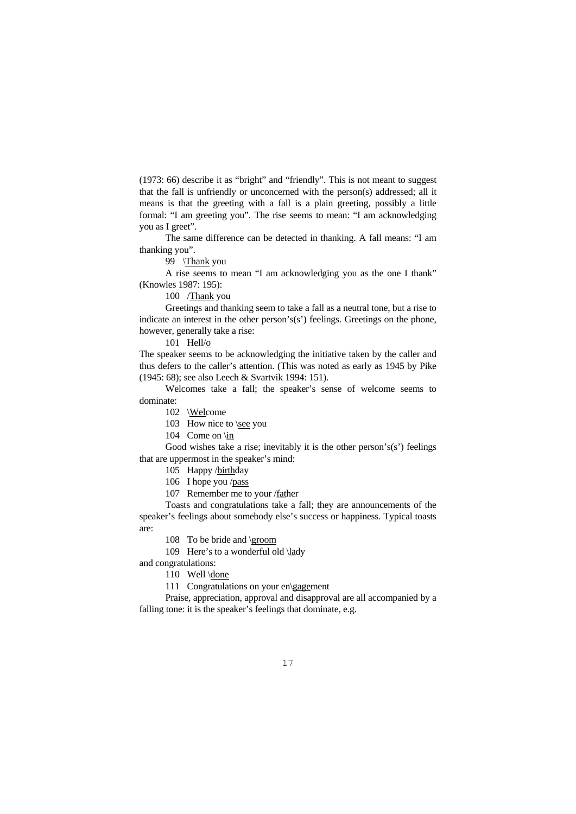(1973: 66) describe it as "bright" and "friendly". This is not meant to suggest that the fall is unfriendly or unconcerned with the person(s) addressed; all it means is that the greeting with a fall is a plain greeting, possibly a little formal: "I am greeting you". The rise seems to mean: "I am acknowledging you as I greet".

 The same difference can be detected in thanking. A fall means: "I am thanking you".

99 \Thank you

 A rise seems to mean "I am acknowledging you as the one I thank" (Knowles 1987: 195):

100 /Thank you

 Greetings and thanking seem to take a fall as a neutral tone, but a rise to indicate an interest in the other person's(s') feelings. Greetings on the phone, however, generally take a rise:

101 Hell/o

The speaker seems to be acknowledging the initiative taken by the caller and thus defers to the caller's attention. (This was noted as early as 1945 by Pike (1945: 68); see also Leech & Svartvik 1994: 151).

 Welcomes take a fall; the speaker's sense of welcome seems to dominate:

102 \Welcome

103 How nice to \see you

104 Come on \in

Good wishes take a rise; inevitably it is the other person's(s') feelings that are uppermost in the speaker's mind:

105 Happy /birthday

106 I hope you /pass

107 Remember me to your /father

 Toasts and congratulations take a fall; they are announcements of the speaker's feelings about somebody else's success or happiness. Typical toasts are:

108 To be bride and \groom

109 Here's to a wonderful old \lady

and congratulations:

110 Well \done

111 Congratulations on your en\gagement

 Praise, appreciation, approval and disapproval are all accompanied by a falling tone: it is the speaker's feelings that dominate, e.g.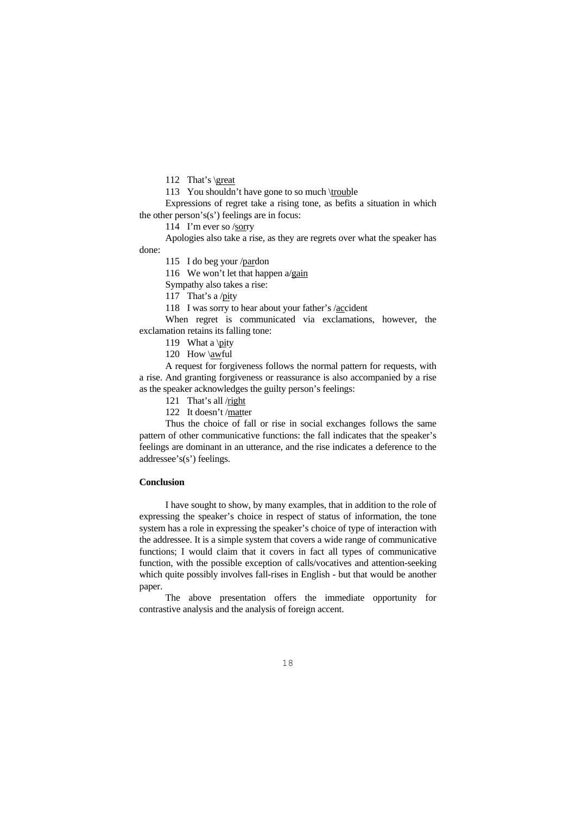112 That's \great

113 You shouldn't have gone to so much \trouble

 Expressions of regret take a rising tone, as befits a situation in which the other person's(s') feelings are in focus:

114 I'm ever so /sorry

 Apologies also take a rise, as they are regrets over what the speaker has done:

115 I do beg your /pardon

116 We won't let that happen a/gain

Sympathy also takes a rise:

117 That's a /pity

118 I was sorry to hear about your father's /accident

 When regret is communicated via exclamations, however, the exclamation retains its falling tone:

119 What a \pity

120 How \awful

 A request for forgiveness follows the normal pattern for requests, with a rise. And granting forgiveness or reassurance is also accompanied by a rise as the speaker acknowledges the guilty person's feelings:

121 That's all /right

122 It doesn't /matter

 Thus the choice of fall or rise in social exchanges follows the same pattern of other communicative functions: the fall indicates that the speaker's feelings are dominant in an utterance, and the rise indicates a deference to the addressee's(s') feelings.

### **Conclusion**

 I have sought to show, by many examples, that in addition to the role of expressing the speaker's choice in respect of status of information, the tone system has a role in expressing the speaker's choice of type of interaction with the addressee. It is a simple system that covers a wide range of communicative functions; I would claim that it covers in fact all types of communicative function, with the possible exception of calls/vocatives and attention-seeking which quite possibly involves fall-rises in English - but that would be another paper.

 The above presentation offers the immediate opportunity for contrastive analysis and the analysis of foreign accent.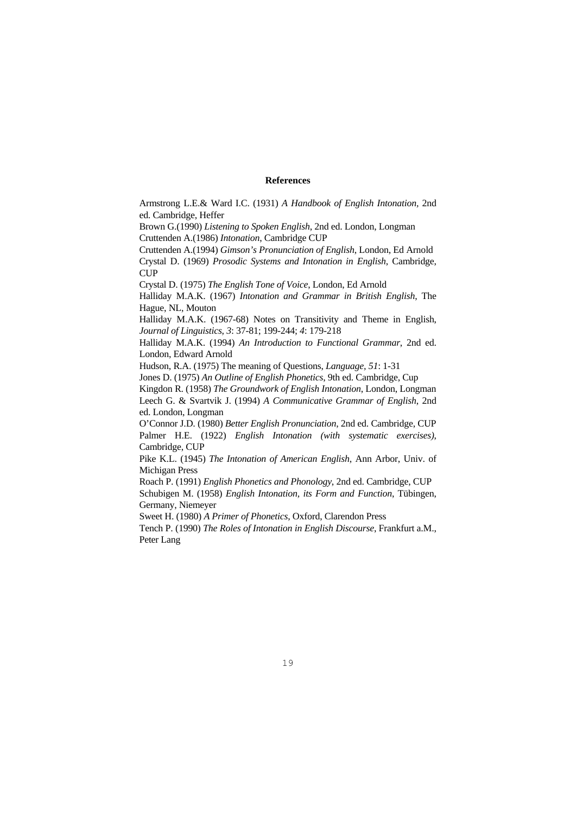## **References**

Armstrong L.E.& Ward I.C. (1931) *A Handbook of English Intonation,* 2nd ed. Cambridge, Heffer

Brown G.(1990) *Listening to Spoken English*, 2nd ed. London, Longman Cruttenden A.(1986) *Intonation*, Cambridge CUP

Cruttenden A.(1994) *Gimson's Pronunciation of English*, London, Ed Arnold Crystal D. (1969) *Prosodic Systems and Intonation in English*, Cambridge, CUP

Crystal D. (1975) *The English Tone of Voice*, London, Ed Arnold

Halliday M.A.K. (1967) *Intonation and Grammar in British English*, The Hague, NL, Mouton

Halliday M.A.K. (1967-68) Notes on Transitivity and Theme in English, *Journal of Linguistics*, *3*: 37-81; 199-244; *4*: 179-218

Halliday M.A.K. (1994) *An Introduction to Functional Grammar*, 2nd ed. London, Edward Arnold

Hudson, R.A. (1975) The meaning of Questions, *Language, 51*: 1-31

Jones D. (1975) *An Outline of English Phonetics*, 9th ed. Cambridge, Cup

Kingdon R. (1958) *The Groundwork of English Intonation*, London, Longman Leech G. & Svartvik J. (1994) *A Communicative Grammar of English*, 2nd ed. London, Longman

O'Connor J.D. (1980) *Better English Pronunciation*, 2nd ed. Cambridge, CUP Palmer H.E. (1922) *English Intonation (with systematic exercises)*, Cambridge, CUP

Pike K.L. (1945) *The Intonation of American English*, Ann Arbor, Univ. of Michigan Press

Roach P. (1991) *English Phonetics and Phonology*, 2nd ed. Cambridge, CUP Schubigen M. (1958) *English Intonation, its Form and Function*, Tübingen, Germany, Niemeyer

Sweet H. (1980) *A Primer of Phonetics*, Oxford, Clarendon Press

Tench P. (1990) *The Roles of Intonation in English Discourse*, Frankfurt a.M., Peter Lang